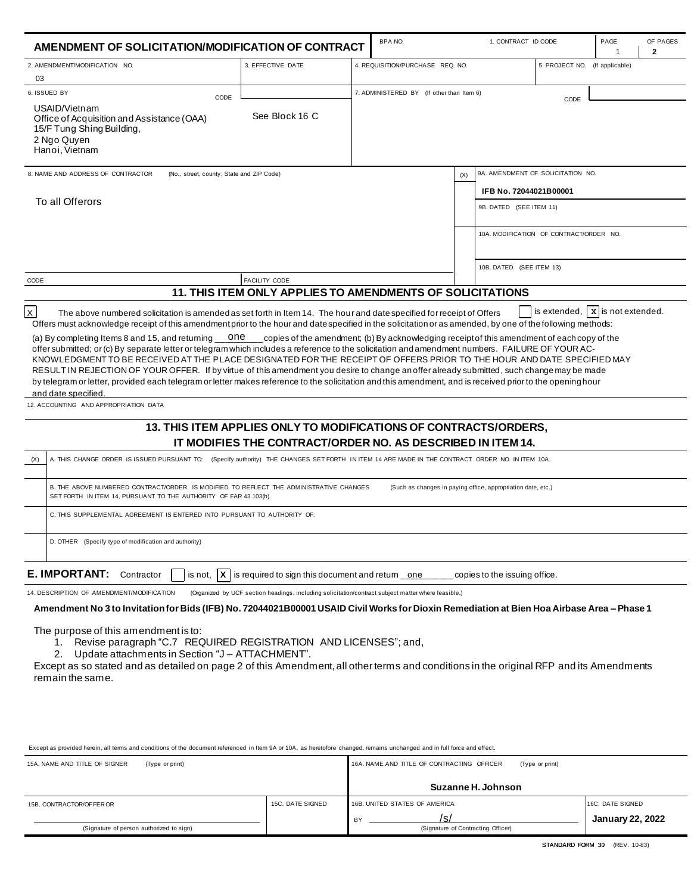| AMENDMENT OF SOLICITATION/MODIFICATION OF CONTRACT                                                                                                                                                                                                                                                                                                                                                                                                                                                                                                                                                                                                                                                                                                                                                              |                                                                                                     |  | BPA NO.                                                            |     | 1. CONTRACT ID CODE                     |                                   | PAGE<br>-1 | OF PAGES<br>$\mathbf{2}$ |
|-----------------------------------------------------------------------------------------------------------------------------------------------------------------------------------------------------------------------------------------------------------------------------------------------------------------------------------------------------------------------------------------------------------------------------------------------------------------------------------------------------------------------------------------------------------------------------------------------------------------------------------------------------------------------------------------------------------------------------------------------------------------------------------------------------------------|-----------------------------------------------------------------------------------------------------|--|--------------------------------------------------------------------|-----|-----------------------------------------|-----------------------------------|------------|--------------------------|
| 2. AMENDMENT/MODIFICATION NO.<br>03                                                                                                                                                                                                                                                                                                                                                                                                                                                                                                                                                                                                                                                                                                                                                                             | 3. EFFECTIVE DATE                                                                                   |  | 4. REQUISITION/PURCHASE REQ. NO.<br>5. PROJECT NO. (If applicable) |     |                                         |                                   |            |                          |
| 6. ISSUED BY                                                                                                                                                                                                                                                                                                                                                                                                                                                                                                                                                                                                                                                                                                                                                                                                    |                                                                                                     |  | 7. ADMINISTERED BY (If other than Item 6)                          |     |                                         |                                   |            |                          |
| CODE<br>USAID/Vietnam<br>Office of Acquisition and Assistance (OAA)<br>15/F Tung Shing Building,<br>2 Ngo Quyen<br>Hanoi, Vietnam                                                                                                                                                                                                                                                                                                                                                                                                                                                                                                                                                                                                                                                                               | See Block 16 C                                                                                      |  |                                                                    |     |                                         | CODE                              |            |                          |
| 8. NAME AND ADDRESS OF CONTRACTOR<br>(No., street, county, State and ZIP Code)                                                                                                                                                                                                                                                                                                                                                                                                                                                                                                                                                                                                                                                                                                                                  |                                                                                                     |  |                                                                    | (X) |                                         | 9A. AMENDMENT OF SOLICITATION NO. |            |                          |
|                                                                                                                                                                                                                                                                                                                                                                                                                                                                                                                                                                                                                                                                                                                                                                                                                 |                                                                                                     |  |                                                                    |     | IFB No. 72044021B00001                  |                                   |            |                          |
| To all Offerors                                                                                                                                                                                                                                                                                                                                                                                                                                                                                                                                                                                                                                                                                                                                                                                                 |                                                                                                     |  |                                                                    |     | 9B. DATED (SEE ITEM 11)                 |                                   |            |                          |
|                                                                                                                                                                                                                                                                                                                                                                                                                                                                                                                                                                                                                                                                                                                                                                                                                 |                                                                                                     |  |                                                                    |     |                                         |                                   |            |                          |
|                                                                                                                                                                                                                                                                                                                                                                                                                                                                                                                                                                                                                                                                                                                                                                                                                 |                                                                                                     |  |                                                                    |     | 10A. MODIFICATION OF CONTRACT/ORDER NO. |                                   |            |                          |
|                                                                                                                                                                                                                                                                                                                                                                                                                                                                                                                                                                                                                                                                                                                                                                                                                 |                                                                                                     |  |                                                                    |     |                                         |                                   |            |                          |
| CODE                                                                                                                                                                                                                                                                                                                                                                                                                                                                                                                                                                                                                                                                                                                                                                                                            | FACILITY CODE                                                                                       |  |                                                                    |     | 10B. DATED (SEE ITEM 13)                |                                   |            |                          |
|                                                                                                                                                                                                                                                                                                                                                                                                                                                                                                                                                                                                                                                                                                                                                                                                                 | 11. THIS ITEM ONLY APPLIES TO AMENDMENTS OF SOLICITATIONS                                           |  |                                                                    |     |                                         |                                   |            |                          |
| (a) By completing Items 8 and 15, and returning ____One<br>copies of the amendment; (b) By acknowledging receipt of this amendment of each copy of the<br>offer submitted; or (c) By separate letter or telegram which includes a reference to the solicitation and amendment numbers. FAILURE OF YOUR AC-<br>KNOWLEDGMENT TO BE RECEIVED AT THE PLACE DESIGNATED FOR THE RECEIPT OF OFFERS PRIOR TO THE HOUR AND DATE SPECIFIED MAY<br>RESULT IN REJECTION OF YOUR OFFER. If by virtue of this amendment you desire to change an offer already submitted, such change may be made<br>by telegram or letter, provided each telegram or letter makes reference to the solicitation and this amendment, and is received prior to the opening hour<br>and date specified.<br>12. ACCOUNTING AND APPROPRIATION DATA |                                                                                                     |  |                                                                    |     |                                         |                                   |            |                          |
|                                                                                                                                                                                                                                                                                                                                                                                                                                                                                                                                                                                                                                                                                                                                                                                                                 |                                                                                                     |  |                                                                    |     |                                         |                                   |            |                          |
|                                                                                                                                                                                                                                                                                                                                                                                                                                                                                                                                                                                                                                                                                                                                                                                                                 | 13. THIS ITEM APPLIES ONLY TO MODIFICATIONS OF CONTRACTS/ORDERS,                                    |  |                                                                    |     |                                         |                                   |            |                          |
| IT MODIFIES THE CONTRACT/ORDER NO. AS DESCRIBED IN ITEM 14.<br>A. THIS CHANGE ORDER IS ISSUED PURSUANT TO:<br>(Specify authority) THE CHANGES SET FORTH IN ITEM 14 ARE MADE IN THE CONTRACT ORDER NO. IN ITEM 10A.<br>(X)                                                                                                                                                                                                                                                                                                                                                                                                                                                                                                                                                                                       |                                                                                                     |  |                                                                    |     |                                         |                                   |            |                          |
| B. THE ABOVE NUMBERED CONTRACT/ORDER IS MODIFIED TO REFLECT THE ADMINISTRATIVE CHANGES<br>(Such as changes in paying office, appropriation date, etc.)<br>SET FORTH IN ITEM 14, PURSUANT TO THE AUTHORITY OF FAR 43.103(b).                                                                                                                                                                                                                                                                                                                                                                                                                                                                                                                                                                                     |                                                                                                     |  |                                                                    |     |                                         |                                   |            |                          |
| C. THIS SUPPLEMENTAL AGREEMENT IS ENTERED INTO PURSUANT TO AUTHORITY OF:                                                                                                                                                                                                                                                                                                                                                                                                                                                                                                                                                                                                                                                                                                                                        |                                                                                                     |  |                                                                    |     |                                         |                                   |            |                          |
| D. OTHER (Specify type of modification and authority)                                                                                                                                                                                                                                                                                                                                                                                                                                                                                                                                                                                                                                                                                                                                                           |                                                                                                     |  |                                                                    |     |                                         |                                   |            |                          |
| E. IMPORTANT:<br>is not, $\ X\ $ is required to sign this document and return $\overline{\phantom{a}}$ one<br>Contractor<br>copies to the issuing office.                                                                                                                                                                                                                                                                                                                                                                                                                                                                                                                                                                                                                                                       |                                                                                                     |  |                                                                    |     |                                         |                                   |            |                          |
| 14. DESCRIPTION OF AMENDMENT/MODIFICATION<br>Amendment No 3 to Invitation for Bids (IFB) No. 72044021B00001 USAID Civil Works for Dioxin Remediation at Bien Hoa Airbase Area - Phase 1<br>The purpose of this amendment is to:<br>Revise paragraph "C.7 REQUIRED REGISTRATION AND LICENSES"; and,<br>1.<br>Update attachments in Section "J - ATTACHMENT".<br>2.<br>Except as so stated and as detailed on page 2 of this Amendment, all other terms and conditions in the original RFP and its Amendments<br>remain the same.                                                                                                                                                                                                                                                                                 | (Organized by UCF section headings, including solicitation/contract subject matter where feasible.) |  |                                                                    |     |                                         |                                   |            |                          |
| Except as provided herein, all terms and conditions of the document referenced in Item 9A or 10A, as heretofore changed, remains unchanged and in full force and effect.                                                                                                                                                                                                                                                                                                                                                                                                                                                                                                                                                                                                                                        |                                                                                                     |  |                                                                    |     |                                         |                                   |            |                          |
| NAME AND TITLE OF CONTRACTING OFFICER                                                                                                                                                                                                                                                                                                                                                                                                                                                                                                                                                                                                                                                                                                                                                                           |                                                                                                     |  |                                                                    |     |                                         |                                   |            |                          |

| 15A, NAME AND TITLE OF SIGNER<br>(Type or print) |                  | 16A, NAME AND TITLE OF CONTRACTING OFFICER<br>(Type or print) |                  |  |
|--------------------------------------------------|------------------|---------------------------------------------------------------|------------------|--|
|                                                  |                  | Suzanne H. Johnson                                            |                  |  |
| 15B, CONTRACTOR/OF FER OR                        | 15C. DATE SIGNED | 16B, UNITED STATES OF AMERICA                                 | 16C. DATE SIGNED |  |
|                                                  |                  | /sı<br>BY                                                     | January 22, 2022 |  |
| (Signature of person authorized to sign)         |                  | (Signature of Contracting Officer)                            |                  |  |

STANDARD FORM 30 (REV. 10-83)